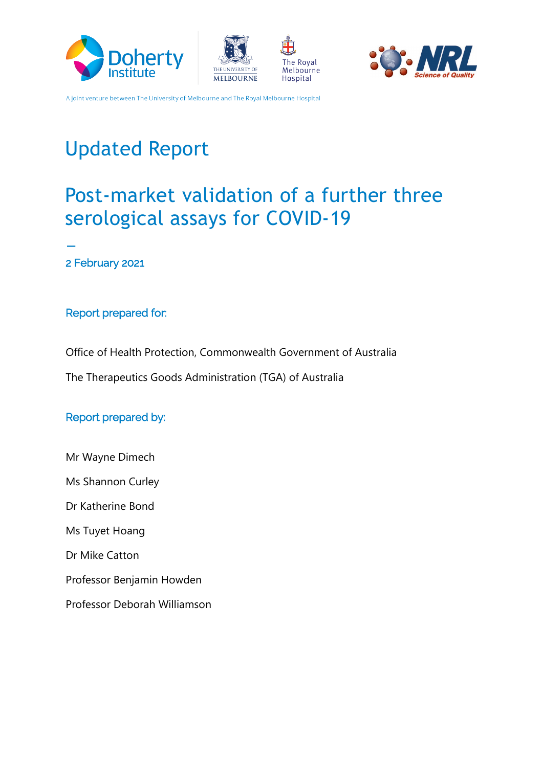







# Updated Report

# Post-market validation of a further three serological assays for COVID-19 **\_**

2 February 2021

#### Report prepared for:

Office of Health Protection, Commonwealth Government of Australia

The Therapeutics Goods Administration (TGA) of Australia

#### Report prepared by:

Mr Wayne Dimech Ms Shannon Curley Dr Katherine Bond Ms Tuyet Hoang Dr Mike Catton Professor Benjamin Howden Professor Deborah Williamson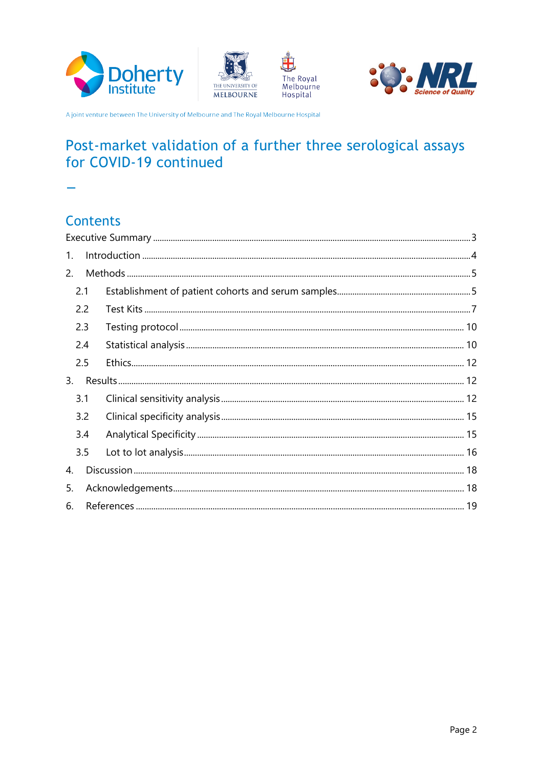







# Post-market validation of a further three serological assays for COVID-19 continued

i.

# **Contents**

| 1.  |     |  |  |  |
|-----|-----|--|--|--|
| 2.  |     |  |  |  |
| 2.1 |     |  |  |  |
|     | 2.2 |  |  |  |
| 2.3 |     |  |  |  |
| 2.4 |     |  |  |  |
| 2.5 |     |  |  |  |
| 3.  |     |  |  |  |
| 3.1 |     |  |  |  |
|     | 3.2 |  |  |  |
|     | 3.4 |  |  |  |
|     | 3.5 |  |  |  |
| 4.  |     |  |  |  |
| 5.  |     |  |  |  |
| 6.  |     |  |  |  |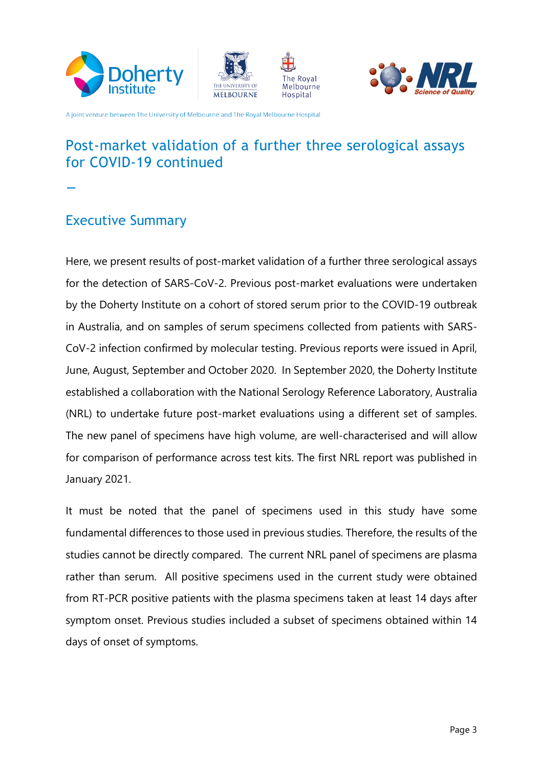







## Post-market validation of a further three serological assays for COVID-19 continued

**\_**

#### <span id="page-2-0"></span>Executive Summary

Here, we present results of post-market validation of a further three serological assays for the detection of SARS-CoV-2. Previous post-market evaluations were undertaken by the Doherty Institute on a cohort of stored serum prior to the COVID-19 outbreak in Australia, and on samples of serum specimens collected from patients with SARS-CoV-2 infection confirmed by molecular testing. Previous reports were issued in April, June, August, September and October 2020. In September 2020, the Doherty Institute established a collaboration with the National Serology Reference Laboratory, Australia (NRL) to undertake future post-market evaluations using a different set of samples. The new panel of specimens have high volume, are well-characterised and will allow for comparison of performance across test kits. The first NRL report was published in January 2021.

It must be noted that the panel of specimens used in this study have some fundamental differences to those used in previous studies. Therefore, the results of the studies cannot be directly compared. The current NRL panel of specimens are plasma rather than serum. All positive specimens used in the current study were obtained from RT-PCR positive patients with the plasma specimens taken at least 14 days after symptom onset. Previous studies included a subset of specimens obtained within 14 days of onset of symptoms.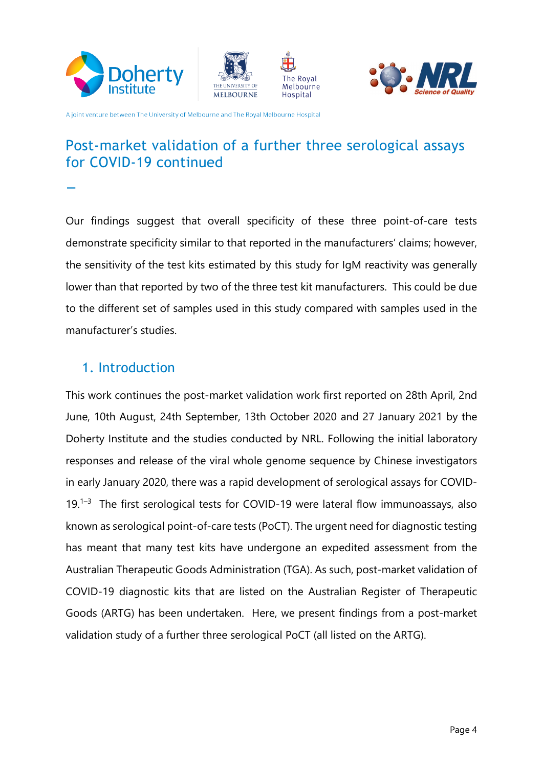







# Post-market validation of a further three serological assays for COVID-19 continued **\_**

Our findings suggest that overall specificity of these three point-of-care tests demonstrate specificity similar to that reported in the manufacturers' claims; however, the sensitivity of the test kits estimated by this study for IgM reactivity was generally lower than that reported by two of the three test kit manufacturers. This could be due to the different set of samples used in this study compared with samples used in the manufacturer's studies.

#### <span id="page-3-0"></span>1. Introduction

This work continues the post-market validation work first reported on 28th April, 2nd June, 10th August, 24th September, 13th October 2020 and 27 January 2021 by the Doherty Institute and the studies conducted by NRL. Following the initial laboratory responses and release of the viral whole genome sequence by Chinese investigators in early January 2020, there was a rapid development of serological assays for COVID-19.<sup>1-3</sup> The first serological tests for COVID-19 were lateral flow immunoassays, also known as serological point-of-care tests (PoCT). The urgent need for diagnostic testing has meant that many test kits have undergone an expedited assessment from the Australian Therapeutic Goods Administration (TGA). As such, post-market validation of COVID-19 diagnostic kits that are listed on the Australian Register of Therapeutic Goods (ARTG) has been undertaken. Here, we present findings from a post-market validation study of a further three serological PoCT (all listed on the ARTG).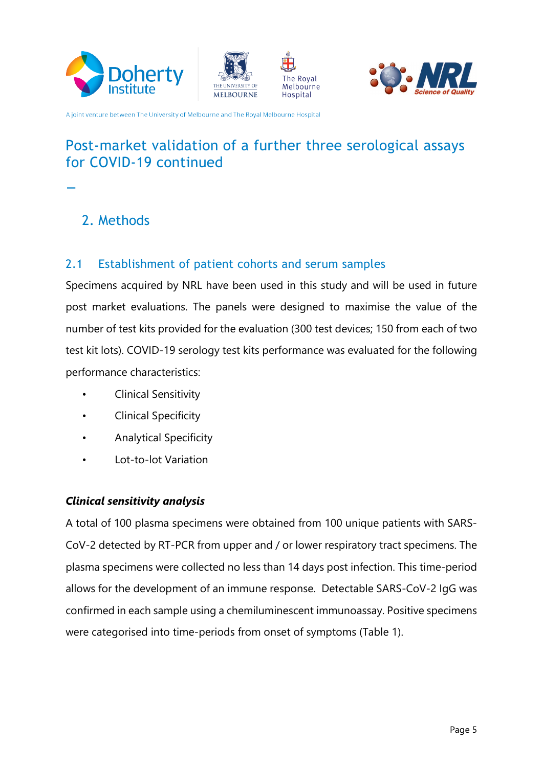







# Post-market validation of a further three serological assays for COVID-19 continued



# <span id="page-4-0"></span>2. Methods

#### <span id="page-4-1"></span>2.1 Establishment of patient cohorts and serum samples

Specimens acquired by NRL have been used in this study and will be used in future post market evaluations. The panels were designed to maximise the value of the number of test kits provided for the evaluation (300 test devices; 150 from each of two test kit lots). COVID-19 serology test kits performance was evaluated for the following performance characteristics:

- Clinical Sensitivity
- Clinical Specificity
- Analytical Specificity
- Lot-to-lot Variation

#### *Clinical sensitivity analysis*

A total of 100 plasma specimens were obtained from 100 unique patients with SARS-CoV-2 detected by RT-PCR from upper and / or lower respiratory tract specimens. The plasma specimens were collected no less than 14 days post infection. This time-period allows for the development of an immune response. Detectable SARS-CoV-2 IgG was confirmed in each sample using a chemiluminescent immunoassay. Positive specimens were categorised into time-periods from onset of symptoms (Table 1).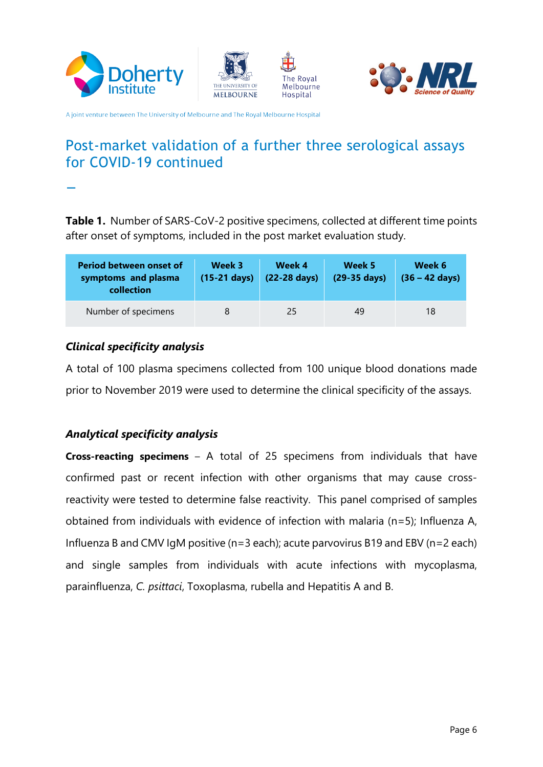







## Post-market validation of a further three serological assays for COVID-19 continued

**\_**

**Table 1.** Number of SARS-CoV-2 positive specimens, collected at different time points after onset of symptoms, included in the post market evaluation study.

| Period between onset of<br>symptoms and plasma<br>collection | Week 3<br>$(15-21$ days) | Week 4<br>$(22-28 \text{ days})$ | Week 5<br>(29-35 days) | Week 6<br>$(36 - 42 \text{ days})$ |
|--------------------------------------------------------------|--------------------------|----------------------------------|------------------------|------------------------------------|
| Number of specimens                                          |                          | 25                               | 49                     | 18                                 |

#### *Clinical specificity analysis*

A total of 100 plasma specimens collected from 100 unique blood donations made prior to November 2019 were used to determine the clinical specificity of the assays.

#### *Analytical specificity analysis*

**Cross-reacting specimens** – A total of 25 specimens from individuals that have confirmed past or recent infection with other organisms that may cause crossreactivity were tested to determine false reactivity. This panel comprised of samples obtained from individuals with evidence of infection with malaria (n=5); Influenza A, Influenza B and CMV IgM positive (n=3 each); acute parvovirus B19 and EBV (n=2 each) and single samples from individuals with acute infections with mycoplasma, parainfluenza, *C. psittaci*, Toxoplasma, rubella and Hepatitis A and B.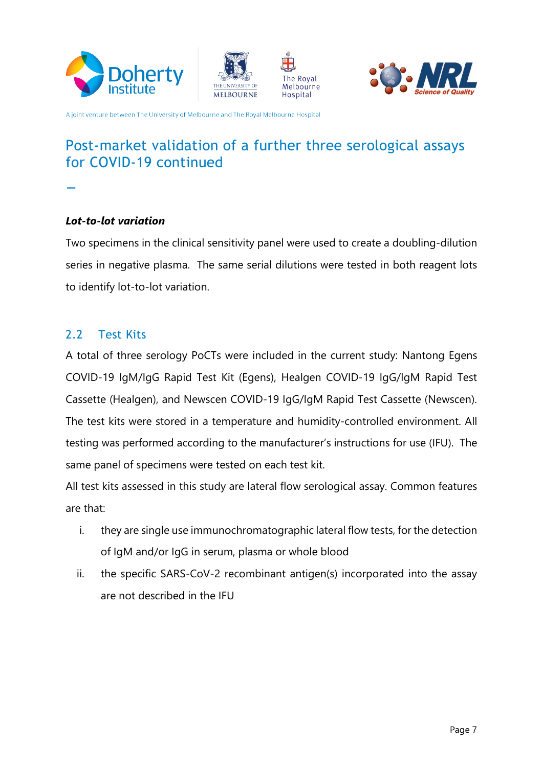







# Post-market validation of a further three serological assays for COVID-19 continued **\_**

*Lot-to-lot variation*

Two specimens in the clinical sensitivity panel were used to create a doubling-dilution series in negative plasma. The same serial dilutions were tested in both reagent lots to identify lot-to-lot variation.

#### <span id="page-6-0"></span>2.2 Test Kits

A total of three serology PoCTs were included in the current study: Nantong Egens COVID-19 IgM/IgG Rapid Test Kit (Egens), Healgen COVID-19 IgG/IgM Rapid Test Cassette (Healgen), and Newscen COVID-19 IgG/IgM Rapid Test Cassette (Newscen). The test kits were stored in a temperature and humidity-controlled environment. All testing was performed according to the manufacturer's instructions for use (IFU). The same panel of specimens were tested on each test kit.

All test kits assessed in this study are lateral flow serological assay. Common features are that:

- i. they are single use immunochromatographic lateral flow tests, for the detection of IgM and/or IgG in serum, plasma or whole blood
- ii. the specific SARS-CoV-2 recombinant antigen(s) incorporated into the assay are not described in the IFU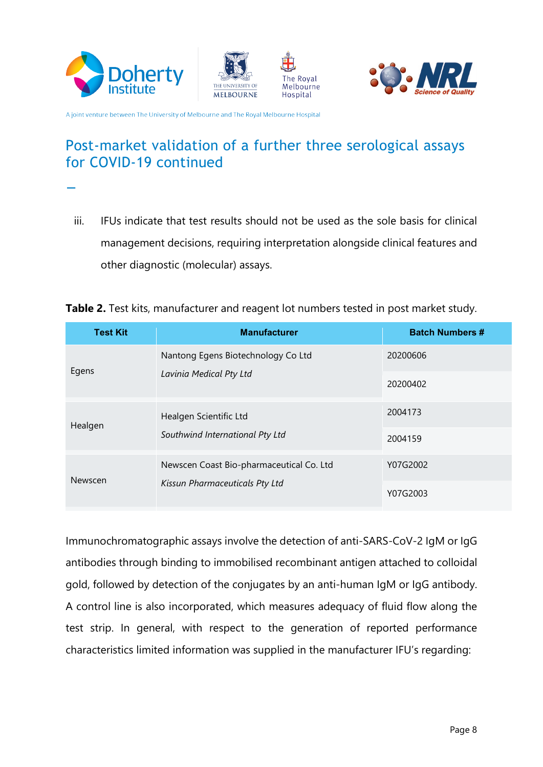







# Post-market validation of a further three serological assays for COVID-19 continued **\_**

- iii. IFUs indicate that test results should not be used as the sole basis for clinical management decisions, requiring interpretation alongside clinical features and other diagnostic (molecular) assays.
- **Table 2.** Test kits, manufacturer and reagent lot numbers tested in post market study.

| <b>Test Kit</b> | <b>Manufacturer</b>                      | <b>Batch Numbers #</b> |
|-----------------|------------------------------------------|------------------------|
|                 | Nantong Egens Biotechnology Co Ltd       | 20200606               |
| Egens           | Lavinia Medical Pty Ltd                  | 20200402               |
| Healgen         | Healgen Scientific Ltd                   | 2004173                |
|                 | Southwind International Pty Ltd          | 2004159                |
| Newscen         | Newscen Coast Bio-pharmaceutical Co. Ltd | Y07G2002               |
|                 | Kissun Pharmaceuticals Pty Ltd           | Y07G2003               |

Immunochromatographic assays involve the detection of anti-SARS-CoV-2 IgM or IgG antibodies through binding to immobilised recombinant antigen attached to colloidal gold, followed by detection of the conjugates by an anti-human IgM or IgG antibody. A control line is also incorporated, which measures adequacy of fluid flow along the test strip. In general, with respect to the generation of reported performance characteristics limited information was supplied in the manufacturer IFU's regarding: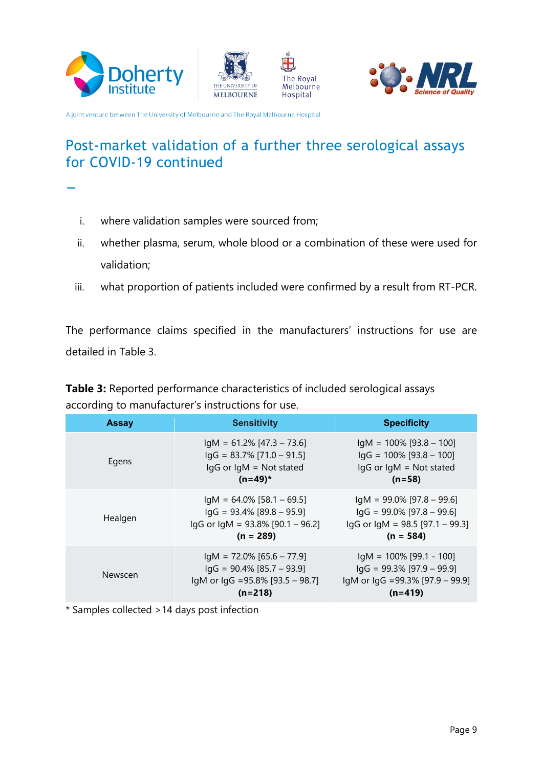







# Post-market validation of a further three serological assays for COVID-19 continued **\_**

- i. where validation samples were sourced from;
- ii. whether plasma, serum, whole blood or a combination of these were used for validation;
- iii. what proportion of patients included were confirmed by a result from RT-PCR.

The performance claims specified in the manufacturers' instructions for use are detailed in Table 3.

**Table 3:** Reported performance characteristics of included serological assays according to manufacturer's instructions for use.

| <b>Assay</b> | <b>Sensitivity</b>                                                                                                      | <b>Specificity</b>                                                                                                  |
|--------------|-------------------------------------------------------------------------------------------------------------------------|---------------------------------------------------------------------------------------------------------------------|
| Egens        | $IgM = 61.2\% [47.3 - 73.6]$<br>$lgG = 83.7\%$ [71.0 - 91.5]<br>$lgG$ or $lgM = Not$ stated<br>$(n=49)^*$               | $IqM = 100\%$ [93.8 - 100]<br>$\lg G = 100\%$ [93.8 - 100]<br>IgG or IgM = Not stated<br>$(n=58)$                   |
| Healgen      | $IqM = 64.0\%$ [58.1 - 69.5]<br>$\lg G$ = 93.4% $[89.8 - 95.9]$<br>$lgG$ or $lgM = 93.8\%$ [90.1 – 96.2]<br>$(n = 289)$ | $IqM = 99.0\%$ [97.8 – 99.6]<br>$\lg G$ = 99.0% [97.8 – 99.6]<br>$lgG$ or $lgM = 98.5$ [97.1 - 99.3]<br>$(n = 584)$ |
| Newscen      | $IqM = 72.0\% [65.6 - 77.9]$<br>$lgG = 90.4\% [85.7 - 93.9]$<br>IgM or IgG =95.8% [93.5 - 98.7]<br>$(n=218)$            | $IgM = 100\%$ [99.1 - 100]<br>$lgG = 99.3\% [97.9 - 99.9]$<br>IgM or IgG =99.3% [97.9 - 99.9]<br>$(n=419)$          |

\* Samples collected >14 days post infection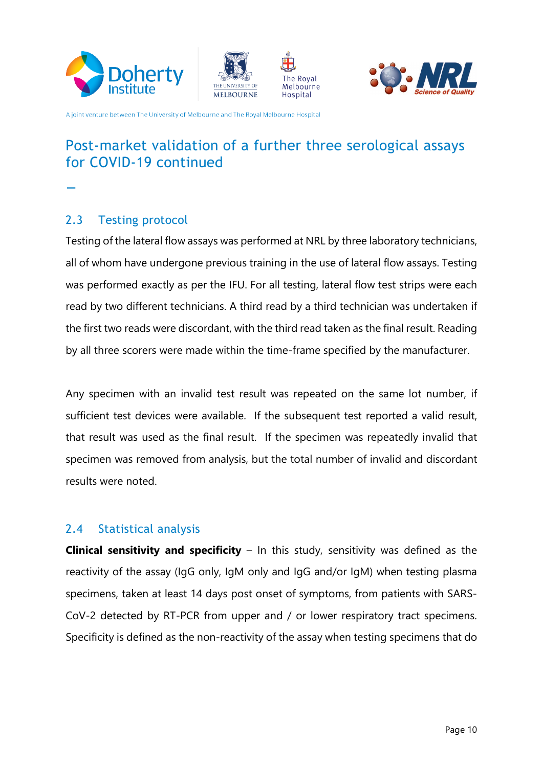







# Post-market validation of a further three serological assays for COVID-19 continued **\_**

<span id="page-9-0"></span>2.3 Testing protocol

Testing of the lateral flow assays was performed at NRL by three laboratory technicians, all of whom have undergone previous training in the use of lateral flow assays. Testing was performed exactly as per the IFU. For all testing, lateral flow test strips were each read by two different technicians. A third read by a third technician was undertaken if the first two reads were discordant, with the third read taken as the final result. Reading by all three scorers were made within the time-frame specified by the manufacturer.

Any specimen with an invalid test result was repeated on the same lot number, if sufficient test devices were available. If the subsequent test reported a valid result, that result was used as the final result. If the specimen was repeatedly invalid that specimen was removed from analysis, but the total number of invalid and discordant results were noted.

#### <span id="page-9-1"></span>2.4 Statistical analysis

**Clinical sensitivity and specificity** – In this study, sensitivity was defined as the reactivity of the assay (IgG only, IgM only and IgG and/or IgM) when testing plasma specimens, taken at least 14 days post onset of symptoms, from patients with SARS-CoV-2 detected by RT-PCR from upper and / or lower respiratory tract specimens. Specificity is defined as the non-reactivity of the assay when testing specimens that do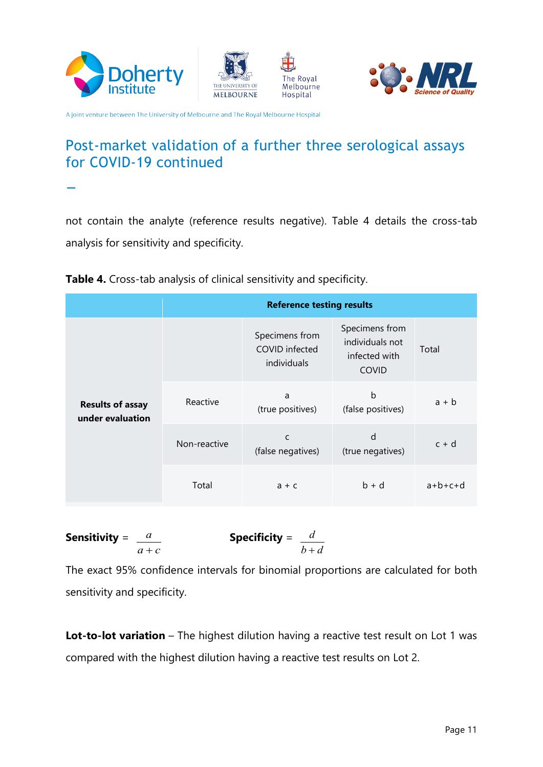







# Post-market validation of a further three serological assays for COVID-19 continued **\_**

not contain the analyte (reference results negative). Table 4 details the cross-tab analysis for sensitivity and specificity.

|  | Table 4. Cross-tab analysis of clinical sensitivity and specificity. |  |  |
|--|----------------------------------------------------------------------|--|--|
|--|----------------------------------------------------------------------|--|--|

|                                             | <b>Reference testing results</b> |                                                 |                                                                    |           |  |  |
|---------------------------------------------|----------------------------------|-------------------------------------------------|--------------------------------------------------------------------|-----------|--|--|
|                                             |                                  | Specimens from<br>COVID infected<br>individuals | Specimens from<br>individuals not<br>infected with<br><b>COVID</b> | Total     |  |  |
| <b>Results of assay</b><br>under evaluation | Reactive                         | a<br>(true positives)                           | b<br>(false positives)                                             | $a + b$   |  |  |
|                                             | Non-reactive                     | C<br>(false negatives)                          | d<br>(true negatives)                                              | $c + d$   |  |  |
|                                             | Total                            | $a + c$                                         | $b + d$                                                            | $a+b+c+d$ |  |  |

**Sensitivity** = 
$$
\frac{a}{a+c}
$$
 **Specificity** =  $\frac{d}{b+d}$ 

The exact 95% confidence intervals for binomial proportions are calculated for both sensitivity and specificity.

**Lot-to-lot variation** – The highest dilution having a reactive test result on Lot 1 was compared with the highest dilution having a reactive test results on Lot 2.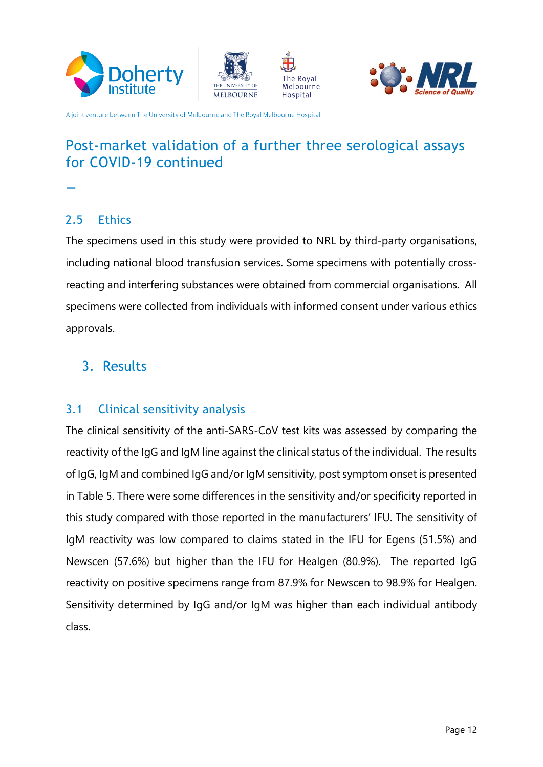







# Post-market validation of a further three serological assays for COVID-19 continued **\_**

#### <span id="page-11-0"></span>2.5 Ethics

The specimens used in this study were provided to NRL by third-party organisations, including national blood transfusion services. Some specimens with potentially crossreacting and interfering substances were obtained from commercial organisations. All specimens were collected from individuals with informed consent under various ethics approvals.

#### <span id="page-11-1"></span>3. Results

#### <span id="page-11-2"></span>3.1 Clinical sensitivity analysis

The clinical sensitivity of the anti-SARS-CoV test kits was assessed by comparing the reactivity of the IgG and IgM line against the clinical status of the individual. The results of IgG, IgM and combined IgG and/or IgM sensitivity, post symptom onset is presented in Table 5. There were some differences in the sensitivity and/or specificity reported in this study compared with those reported in the manufacturers' IFU. The sensitivity of IgM reactivity was low compared to claims stated in the IFU for Egens (51.5%) and Newscen (57.6%) but higher than the IFU for Healgen (80.9%). The reported IgG reactivity on positive specimens range from 87.9% for Newscen to 98.9% for Healgen. Sensitivity determined by IgG and/or IgM was higher than each individual antibody class.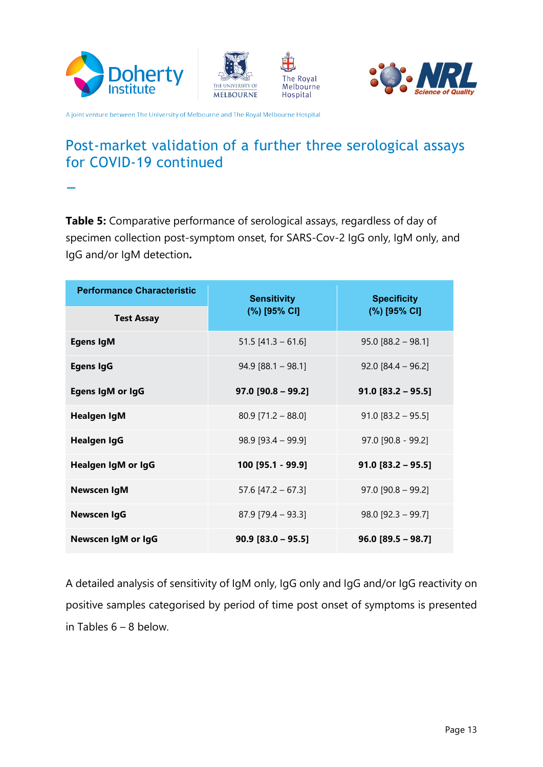







# Post-market validation of a further three serological assays for COVID-19 continued **\_**

**Table 5:** Comparative performance of serological assays, regardless of day of specimen collection post-symptom onset, for SARS-Cov-2 IgG only, IgM only, and IgG and/or IgM detection**.**

| <b>Performance Characteristic</b> | <b>Sensitivity</b>   | <b>Specificity</b>   |  |
|-----------------------------------|----------------------|----------------------|--|
| <b>Test Assay</b>                 | (%) [95% CI]         | (%) [95% CI]         |  |
| <b>Egens IgM</b>                  | $51.5$ [41.3 - 61.6] | $95.0$ [88.2 - 98.1] |  |
| <b>Egens IgG</b>                  | $94.9$ [88.1 - 98.1] | $92.0$ [84.4 - 96.2] |  |
| Egens IgM or IgG                  | $97.0$ [90.8 - 99.2] | $91.0$ [83.2 - 95.5] |  |
| <b>Healgen IgM</b>                | $80.9$ [71.2 - 88.0] | $91.0$ [83.2 - 95.5] |  |
| <b>Healgen IgG</b>                | $98.9$ [93.4 - 99.9] | 97.0 [90.8 - 99.2]   |  |
| Healgen IgM or IgG                | 100 [95.1 - 99.9]    | $91.0$ [83.2 - 95.5] |  |
| <b>Newscen IgM</b>                | 57.6 $[47.2 - 67.3]$ | $97.0$ [90.8 - 99.2] |  |
| <b>Newscen IgG</b>                | $87.9$ [79.4 - 93.3] | $98.0$ [92.3 - 99.7] |  |
| Newscen IgM or IgG                | $90.9$ [83.0 - 95.5] | $96.0 [89.5 - 98.7]$ |  |

A detailed analysis of sensitivity of IgM only, IgG only and IgG and/or IgG reactivity on positive samples categorised by period of time post onset of symptoms is presented in Tables 6 – 8 below.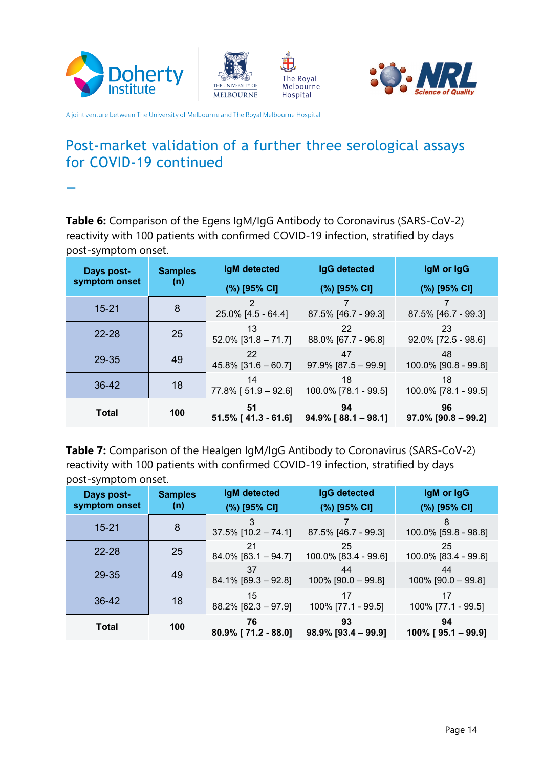







#### Post-market validation of a further three serological assays for COVID-19 continued

**\_**

**Table 6:** Comparison of the Egens IgM/IgG Antibody to Coronavirus (SARS-CoV-2) reactivity with 100 patients with confirmed COVID-19 infection, stratified by days post-symptom onset.

| Days post-    | <b>Samples</b> | IgM detected                     | <b>IgG</b> detected           | IgM or IgG                   |
|---------------|----------------|----------------------------------|-------------------------------|------------------------------|
| symptom onset | (n)            | (%) [95% CI]                     | (%) [95% CI]                  | (%) [95% CI]                 |
| $15 - 21$     | 8              | 2<br>25.0% [4.5 - 64.4]          | 87.5% [46.7 - 99.3]           | 87.5% [46.7 - 99.3]          |
| $22 - 28$     | 25             | 13<br>$52.0\%$ [31.8 - 71.7]     | 22<br>88.0% [67.7 - 96.8]     | 23<br>92.0% [72.5 - 98.6]    |
| 29-35         | 49             | 22<br>$45.8\%$ [31.6 - 60.7]     | 47<br>$97.9\%$ [87.5 - 99.9]  | 48<br>100.0% [90.8 - 99.8]   |
| $36-42$       | 18             | 14<br>$77.8\%$ [ $51.9 - 92.6$ ] | 18<br>100.0% [78.1 - 99.5]    | 18<br>100.0% [78.1 - 99.5]   |
| <b>Total</b>  | 100            | 51<br>$51.5\%$ [ 41.3 - 61.6]    | 94<br>$94.9\%$ [ 88.1 – 98.1] | 96<br>$97.0\%$ [90.8 – 99.2] |

**Table 7:** Comparison of the Healgen IgM/IgG Antibody to Coronavirus (SARS-CoV-2) reactivity with 100 patients with confirmed COVID-19 infection, stratified by days post-symptom onset.

| Days post-<br>symptom onset | <b>Samples</b><br>(n) | <b>IgM</b> detected<br>(%) [95% CI] | IgG detected<br>(%) [95% CI] | IgM or IgG<br>(%) [95% CI]   |
|-----------------------------|-----------------------|-------------------------------------|------------------------------|------------------------------|
| $15 - 21$                   | 8                     | $37.5\%$ [10.2 - 74.1]              | 87.5% [46.7 - 99.3]          | 8<br>100.0% [59.8 - 98.8]    |
| $22 - 28$                   | 25                    | 21<br>$84.0\%$ [63.1 - 94.7]        | 25<br>100.0% [83.4 - 99.6]   | 25<br>100.0% [83.4 - 99.6]   |
| 29-35                       | 49                    | 37<br>$84.1\%$ [69.3 - 92.8]        | 44<br>100% [90.0 - 99.8]     | 44<br>100% [90.0 - 99.8]     |
| 36-42                       | 18                    | 15<br>$88.2\%$ [62.3 – 97.9]        | 17<br>100% [77.1 - 99.5]     | 17<br>100% [77.1 - 99.5]     |
| <b>Total</b>                | 100                   | 76<br>80.9% [71.2 - 88.0]           | 93<br>$98.9\%$ [93.4 - 99.9] | 94<br>$100\%$ [ 95.1 - 99.9] |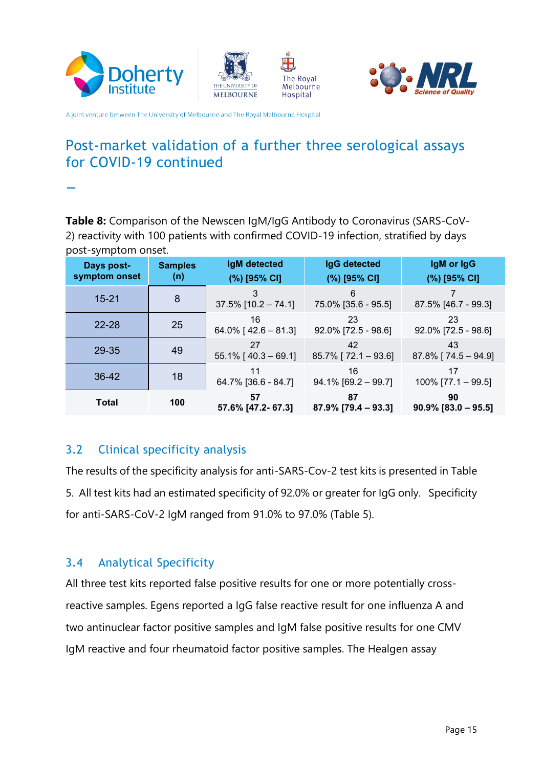







# Post-market validation of a further three serological assays for COVID-19 continued **\_**

**Table 8:** Comparison of the Newscen IgM/IgG Antibody to Coronavirus (SARS-CoV-2) reactivity with 100 patients with confirmed COVID-19 infection, stratified by days post-symptom onset.

| Days post-<br>symptom onset | <b>Samples</b><br>(n) | IgM detected<br>(%) [95% CI]  | IgG detected<br>(%) [95% CI]  | IgM or IgG<br>(%) [95% CI]       |
|-----------------------------|-----------------------|-------------------------------|-------------------------------|----------------------------------|
| $15 - 21$                   | 8                     | 3<br>$37.5\%$ [10.2 - 74.1]   | 6<br>75.0% [35.6 - 95.5]      | 87.5% [46.7 - 99.3]              |
| $22 - 28$                   | 25                    | 16<br>64.0% [ $42.6 - 81.3$ ] | 23<br>92.0% [72.5 - 98.6]     | 23<br>92.0% [72.5 - 98.6]        |
| 29-35                       | 49                    | 27<br>$55.1\%$ [40.3 - 69.1]  | 42<br>$85.7\%$ [ 72.1 - 93.6] | 43<br>$87.8\%$ [ $74.5 - 94.9$ ] |
| 36-42                       | 18                    | 11<br>64.7% [36.6 - 84.7]     | 16<br>$94.1\%$ [69.2 - 99.7]  | 17<br>$100\%$ [77.1 – 99.5]      |
| <b>Total</b>                | 100                   | 57<br>57.6% [47.2- 67.3]      | 87<br>$87.9\%$ [79.4 - 93.3]  | 90<br>$90.9\%$ [83.0 - 95.5]     |

#### <span id="page-14-0"></span>3.2 Clinical specificity analysis

The results of the specificity analysis for anti-SARS-Cov-2 test kits is presented in Table 5. All test kits had an estimated specificity of 92.0% or greater for IgG only. Specificity for anti-SARS-CoV-2 IgM ranged from 91.0% to 97.0% (Table 5).

#### <span id="page-14-1"></span>3.4 Analytical Specificity

All three test kits reported false positive results for one or more potentially crossreactive samples. Egens reported a IgG false reactive result for one influenza A and two antinuclear factor positive samples and IgM false positive results for one CMV IgM reactive and four rheumatoid factor positive samples. The Healgen assay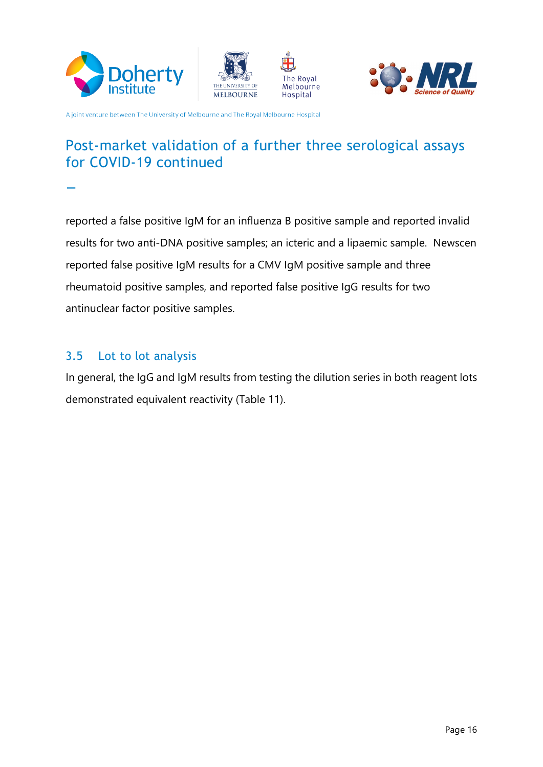







# Post-market validation of a further three serological assays for COVID-19 continued **\_**

reported a false positive IgM for an influenza B positive sample and reported invalid results for two anti-DNA positive samples; an icteric and a lipaemic sample. Newscen reported false positive IgM results for a CMV IgM positive sample and three rheumatoid positive samples, and reported false positive IgG results for two antinuclear factor positive samples.

#### <span id="page-15-0"></span>3.5 Lot to lot analysis

In general, the IgG and IgM results from testing the dilution series in both reagent lots demonstrated equivalent reactivity (Table 11).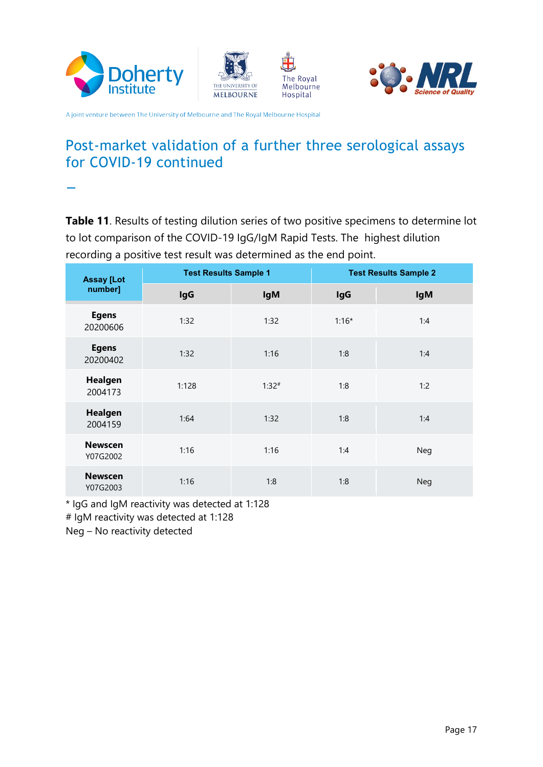







## Post-market validation of a further three serological assays for COVID-19 continued

**\_**

**Table 11**. Results of testing dilution series of two positive specimens to determine lot to lot comparison of the COVID-19 IgG/IgM Rapid Tests. The highest dilution recording a positive test result was determined as the end point.

| <b>Assay [Lot</b>          | <b>Test Results Sample 1</b> |            | <b>Test Results Sample 2</b> |            |
|----------------------------|------------------------------|------------|------------------------------|------------|
| number]                    | <b>IgG</b>                   | <b>IgM</b> | <b>IgG</b>                   | <b>IgM</b> |
| <b>Egens</b><br>20200606   | 1:32                         | 1:32       | $1:16*$                      | 1:4        |
| <b>Egens</b><br>20200402   | 1:32                         | 1:16       | 1:8                          | 1:4        |
| Healgen<br>2004173         | 1:128                        | $1:32^{#}$ | 1:8                          | 1:2        |
| Healgen<br>2004159         | 1:64                         | 1:32       | 1:8                          | 1:4        |
| <b>Newscen</b><br>Y07G2002 | 1:16                         | 1:16       | 1:4                          | Neg        |
| <b>Newscen</b><br>Y07G2003 | 1:16                         | 1:8        | 1:8                          | <b>Neg</b> |

\* IgG and IgM reactivity was detected at 1:128 # IgM reactivity was detected at 1:128

<span id="page-16-0"></span>Neg – No reactivity detected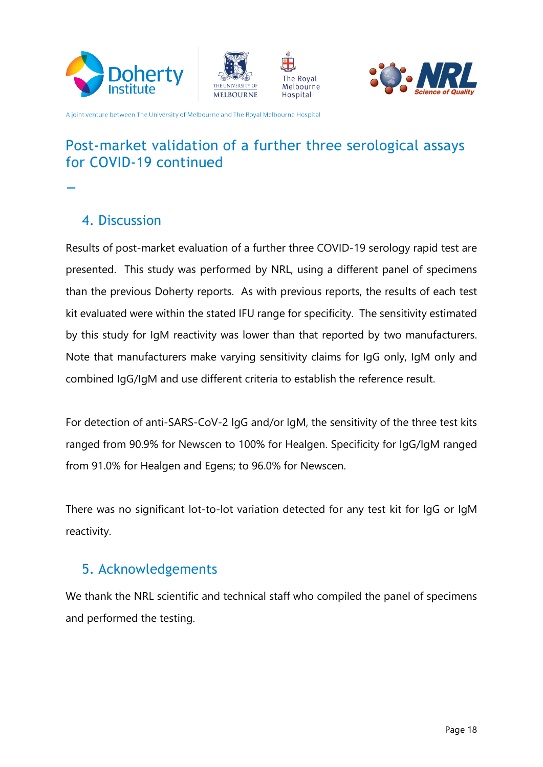







# Post-market validation of a further three serological assays for COVID-19 continued **\_**



Results of post-market evaluation of a further three COVID-19 serology rapid test are presented. This study was performed by NRL, using a different panel of specimens than the previous Doherty reports. As with previous reports, the results of each test kit evaluated were within the stated IFU range for specificity. The sensitivity estimated by this study for IgM reactivity was lower than that reported by two manufacturers. Note that manufacturers make varying sensitivity claims for IgG only, IgM only and combined IgG/IgM and use different criteria to establish the reference result.

For detection of anti-SARS-CoV-2 IgG and/or IgM, the sensitivity of the three test kits ranged from 90.9% for Newscen to 100% for Healgen. Specificity for IgG/IgM ranged from 91.0% for Healgen and Egens; to 96.0% for Newscen.

There was no significant lot-to-lot variation detected for any test kit for IgG or IgM reactivity.

#### <span id="page-17-0"></span>5. Acknowledgements

We thank the NRL scientific and technical staff who compiled the panel of specimens and performed the testing.